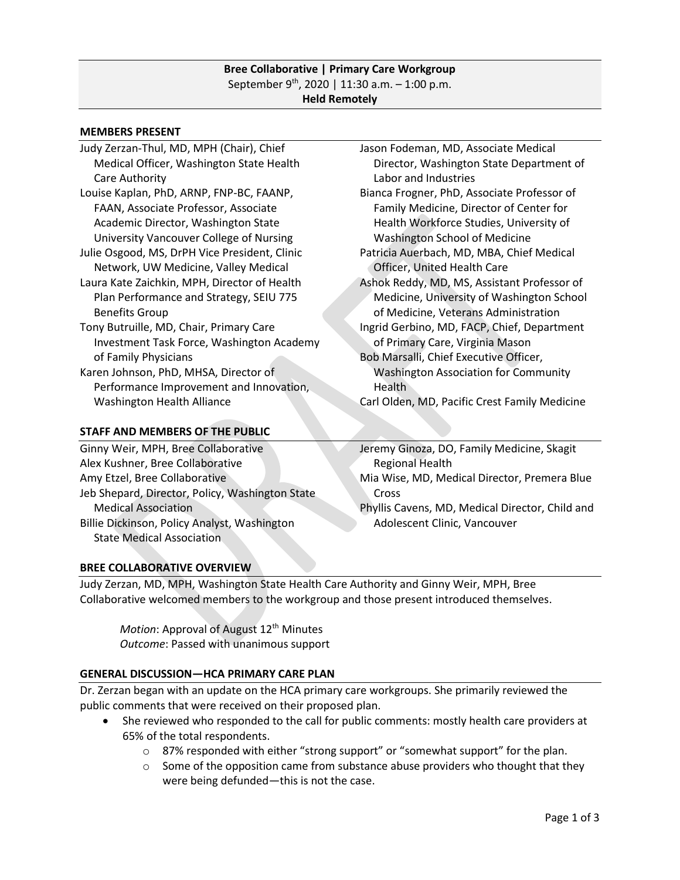#### **Bree Collaborative | Primary Care Workgroup** September 9<sup>th</sup>, 2020 | 11:30 a.m. - 1:00 p.m. **Held Remotely**

#### **MEMBERS PRESENT**

- Judy Zerzan-Thul, MD, MPH (Chair), Chief Medical Officer, Washington State Health Care Authority Louise Kaplan, PhD, ARNP, FNP-BC, FAANP,
- FAAN, Associate Professor, Associate Academic Director, Washington State University Vancouver College of Nursing
- Julie Osgood, MS, DrPH Vice President, Clinic Network, UW Medicine, Valley Medical Laura Kate Zaichkin, MPH, Director of Health Plan Performance and Strategy, SEIU 775

# Benefits Group

- Tony Butruille, MD, Chair, Primary Care Investment Task Force, Washington Academy of Family Physicians
- Karen Johnson, PhD, MHSA, Director of Performance Improvement and Innovation, Washington Health Alliance

### **STAFF AND MEMBERS OF THE PUBLIC**

Ginny Weir, MPH, Bree Collaborative Alex Kushner, Bree Collaborative Amy Etzel, Bree Collaborative Jeb Shepard, Director, Policy, Washington State Medical Association Billie Dickinson, Policy Analyst, Washington State Medical Association

- Jason Fodeman, MD, Associate Medical Director, Washington State Department of Labor and Industries
- Bianca Frogner, PhD, Associate Professor of Family Medicine, Director of Center for Health Workforce Studies, University of Washington School of Medicine
- Patricia Auerbach, MD, MBA, Chief Medical Officer, United Health Care
- Ashok Reddy, MD, MS, Assistant Professor of Medicine, University of Washington School of Medicine, Veterans Administration
- Ingrid Gerbino, MD, FACP, Chief, Department of Primary Care, Virginia Mason Bob Marsalli, Chief Executive Officer,
- Washington Association for Community Health
- Carl Olden, MD, Pacific Crest Family Medicine

Jeremy Ginoza, DO, Family Medicine, Skagit Regional Health Mia Wise, MD, Medical Director, Premera Blue Cross Phyllis Cavens, MD, Medical Director, Child and

Adolescent Clinic, Vancouver

### **BREE COLLABORATIVE OVERVIEW**

Judy Zerzan, MD, MPH, Washington State Health Care Authority and Ginny Weir, MPH, Bree Collaborative welcomed members to the workgroup and those present introduced themselves.

*Motion*: Approval of August 12<sup>th</sup> Minutes *Outcome*: Passed with unanimous support

### **GENERAL DISCUSSION—HCA PRIMARY CARE PLAN**

Dr. Zerzan began with an update on the HCA primary care workgroups. She primarily reviewed the public comments that were received on their proposed plan.

- She reviewed who responded to the call for public comments: mostly health care providers at 65% of the total respondents.
	- o 87% responded with either "strong support" or "somewhat support" for the plan.
	- $\circ$  Some of the opposition came from substance abuse providers who thought that they were being defunded—this is not the case.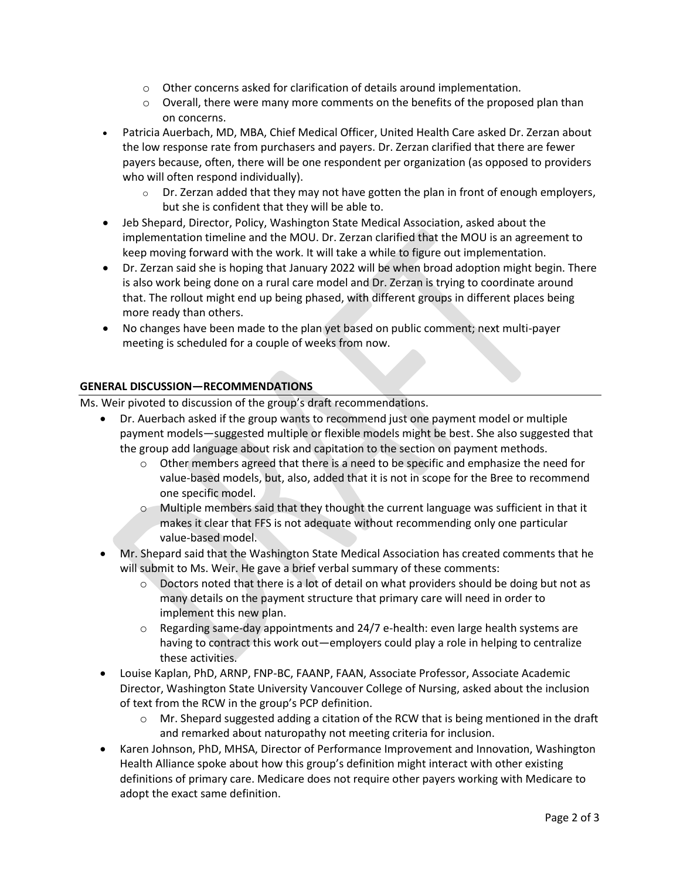- $\circ$  Other concerns asked for clarification of details around implementation.
- $\circ$  Overall, there were many more comments on the benefits of the proposed plan than on concerns.
- Patricia Auerbach, MD, MBA, Chief Medical Officer, United Health Care asked Dr. Zerzan about the low response rate from purchasers and payers. Dr. Zerzan clarified that there are fewer payers because, often, there will be one respondent per organization (as opposed to providers who will often respond individually).
	- $\circ$  Dr. Zerzan added that they may not have gotten the plan in front of enough employers, but she is confident that they will be able to.
- Jeb Shepard, Director, Policy, Washington State Medical Association, asked about the implementation timeline and the MOU. Dr. Zerzan clarified that the MOU is an agreement to keep moving forward with the work. It will take a while to figure out implementation.
- Dr. Zerzan said she is hoping that January 2022 will be when broad adoption might begin. There is also work being done on a rural care model and Dr. Zerzan is trying to coordinate around that. The rollout might end up being phased, with different groups in different places being more ready than others.
- No changes have been made to the plan yet based on public comment; next multi-payer meeting is scheduled for a couple of weeks from now.

## **GENERAL DISCUSSION—RECOMMENDATIONS**

Ms. Weir pivoted to discussion of the group's draft recommendations.

- Dr. Auerbach asked if the group wants to recommend just one payment model or multiple payment models—suggested multiple or flexible models might be best. She also suggested that the group add language about risk and capitation to the section on payment methods.
	- $\circ$  Other members agreed that there is a need to be specific and emphasize the need for value-based models, but, also, added that it is not in scope for the Bree to recommend one specific model.
	- $\circ$  Multiple members said that they thought the current language was sufficient in that it makes it clear that FFS is not adequate without recommending only one particular value-based model.
- Mr. Shepard said that the Washington State Medical Association has created comments that he will submit to Ms. Weir. He gave a brief verbal summary of these comments:
	- $\circ$  Doctors noted that there is a lot of detail on what providers should be doing but not as many details on the payment structure that primary care will need in order to implement this new plan.
	- $\circ$  Regarding same-day appointments and 24/7 e-health: even large health systems are having to contract this work out—employers could play a role in helping to centralize these activities.
- Louise Kaplan, PhD, ARNP, FNP-BC, FAANP, FAAN, Associate Professor, Associate Academic Director, Washington State University Vancouver College of Nursing, asked about the inclusion of text from the RCW in the group's PCP definition.
	- $\circ$  Mr. Shepard suggested adding a citation of the RCW that is being mentioned in the draft and remarked about naturopathy not meeting criteria for inclusion.
- Karen Johnson, PhD, MHSA, Director of Performance Improvement and Innovation, Washington Health Alliance spoke about how this group's definition might interact with other existing definitions of primary care. Medicare does not require other payers working with Medicare to adopt the exact same definition.